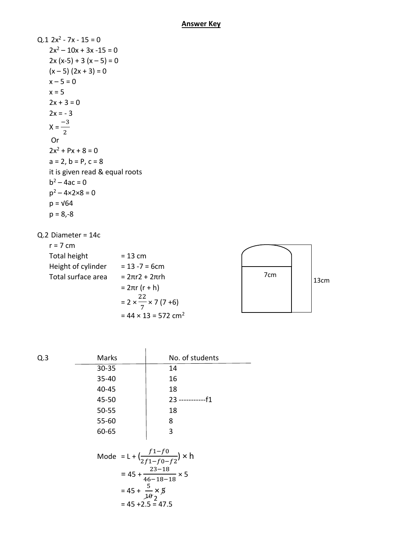| $Q.1 2x^2 - 7x - 15 = 0$        |
|---------------------------------|
| $2x^2 - 10x + 3x - 15 = 0$      |
| $2x (x-5) + 3 (x - 5) = 0$      |
| $(x - 5) (2x + 3) = 0$          |
| $x - 5 = 0$                     |
| $x = 5$                         |
| $2x + 3 = 0$                    |
| $2x = -3$                       |
| $X = \frac{-3}{2}$              |
| Or                              |
| $2x^2$ + Px + 8 = 0             |
| $a = 2$ , $b = P$ , $c = 8$     |
| it is given read & equal roots  |
| $b^2 - 4ac = 0$                 |
| $p^2 - 4 \times 2 \times 8 = 0$ |
| p = √64                         |
| p = 8,-8                        |
|                                 |

Q.2 Diameter = 14c

 $r = 7$  cm Total height  $= 13$  cm Height of cylinder  $= 13 - 7 = 6$ cm Total surface area  $= 2πr2 + 2πrh$  $= 2πr (r + h)$  $= 2 \times \frac{22}{7}$ 7 × 7 (7 +6)



| Q.3                                                   | Marks | No. of students       |  |  |  |  |
|-------------------------------------------------------|-------|-----------------------|--|--|--|--|
|                                                       | 30-35 | 14                    |  |  |  |  |
|                                                       | 35-40 | 16                    |  |  |  |  |
|                                                       | 40-45 | 18                    |  |  |  |  |
|                                                       | 45-50 | $23$ --------------f1 |  |  |  |  |
|                                                       | 50-55 | 18                    |  |  |  |  |
|                                                       | 55-60 | 8                     |  |  |  |  |
|                                                       | 60-65 | 3                     |  |  |  |  |
| Mode = L + $\left(\frac{f1-f0}{2f1-f0-f2}\right)$ × h |       |                       |  |  |  |  |
| = $45 + \frac{23 - 18}{46 - 18 - 18} \times 5$        |       |                       |  |  |  |  |
| $= 45 + \frac{5}{10} \times 8$                        |       |                       |  |  |  |  |

 $= 44 \times 13 = 572$  cm<sup>2</sup>

$$
10^{10} \times 10^{10}
$$
  
= 45 + 2.5 = 47.5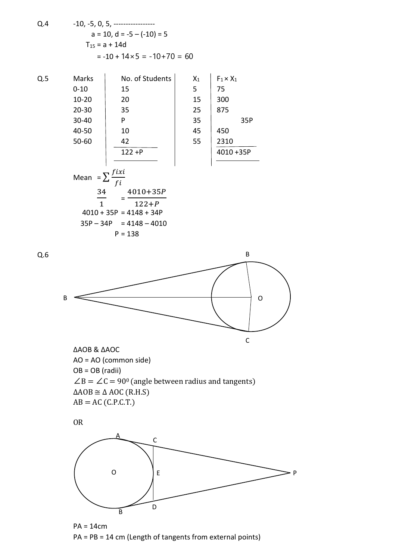Q.4  
-10, -5, 0, 5,   
a = 10, d = -5 – (-10) = 5  

$$
T_{15} = a + 14d
$$

$$
= -10 + 14 \times 5 = -10 + 70 = 60
$$

Q.5 Marks | No. of Students  $X_1$  |  $F_1 \times X_1$ 

Q.6

10-20 20 15 300 20-30 35 25 875 30-40 P 35 35P 40-50 10 45 450 50-60 42 55 2310

0-10 15 5 75 4010 +35P

Mean 
$$
=\sum \frac{fixi}{fi}
$$
  
\n $\frac{34}{1} = \frac{4010+35P}{122+P}$   
\n4010 + 35P = 4148 + 34P  
\n35P - 34P = 4148 - 4010  
\nP = 138

B B C O

∆AOB & ∆AOC AO = AO (common side) OB = OB (radii)  $\angle$ B =  $\angle$ C = 90<sup>0</sup> (angle between radius and tangents)  $\triangle AOB \cong \triangle AOC (R.H.S)$  $AB = AC (C.P.C.T.)$ 





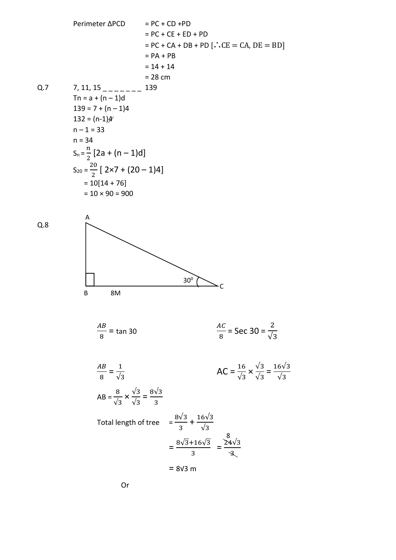Perimeter ΔPCD = PC + CD + PD  
\n= PC + CE + ED + PD  
\n= PC + CA + DB + PD [∴ CE = CA, DE = BD]  
\n= PA + PB  
\n= 14 + 14  
\n= 28 cm  
\nQ.7 7, 11, 15 \_ - - - - - 139  
\n= 34 cm  
\n= 34  
\n139 = 7 + (n - 1)4  
\n132 = (n-1)4  
\n= 33  
\n= 34  
\nS<sub>n</sub> = 
$$
\frac{n}{2}
$$
 [2a + (n - 1)d]  
\n= 10[14 + 76]  
\n= 10 × 90 = 900  
\nQ.8  
\nA  
\nB  
\n $\frac{AB}{8}$  = tan 30  
\n $\frac{AC}{8}$  = Sec 30 =  $\frac{2}{\sqrt{3}}$ 

$$
\frac{AB}{8} = \frac{1}{\sqrt{3}}
$$
  
\n
$$
AC = \frac{16}{\sqrt{3}} \times \frac{\sqrt{3}}{\sqrt{3}} = \frac{16\sqrt{3}}{\sqrt{3}}
$$
  
\n
$$
AB = \frac{8}{\sqrt{3}} \times \frac{\sqrt{3}}{\sqrt{3}} = \frac{8\sqrt{3}}{3}
$$
  
\nTotal length of tree 
$$
= \frac{8\sqrt{3}}{3} + \frac{16\sqrt{3}}{\sqrt{3}}
$$

$$
= \frac{8\sqrt{3} + 16\sqrt{3}}{3} = \frac{8}{\sqrt{3}}
$$

$$
= 8\sqrt{3} \text{ m}
$$

Or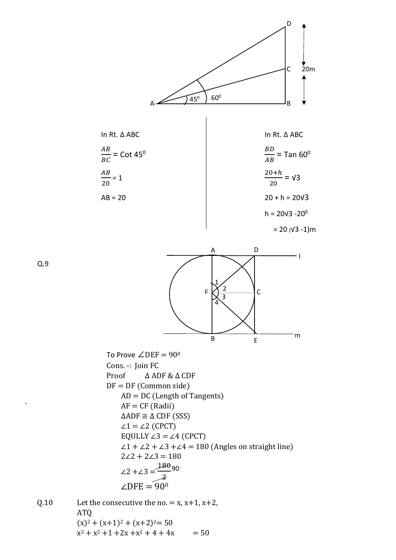





To Prove  $∠DEF = 90°$ Cons. -: Join FC Proof ∆ ADF & ∆ CDF  $DF = DF (Common side)$  $AD = DC$  (Length of Tangents)  $AF = CF$  (Radii)  $\triangle ADF \cong \triangle CDF(SSS)$  $\angle 1 = \angle 2$  (CPCT) EQULLY  $\angle 3 = \angle 4$  (CPCT)  $\angle 1 + \angle 2 + \angle 3 + \angle 4 = 180$  (Angles on straight line)  $2\angle 2 + 2\angle 3 = 180$ ∠2 +∠3 = 180 2 ∠DFE =  $90^\circ$ 90

Q.10 Let the consecutive the no. =  $x, x+1, x+2$ , ATQ  $(x)^{2} + (x+1)^{2} + (x+2)^{2} = 50$  $x^2 + x^2 + 1 + 2x + x^2 + 4 + 4x = 50$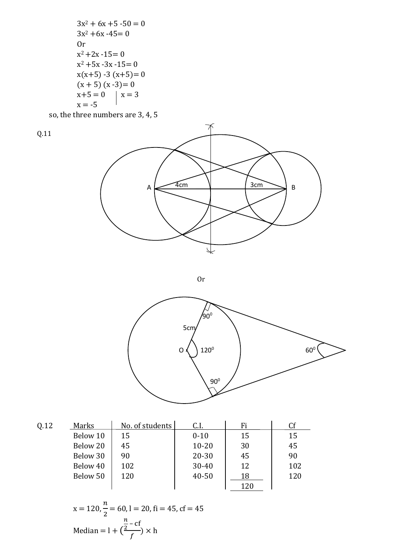$3x^2 + 6x + 5 - 50 = 0$  $3x^2 + 6x - 45 = 0$ Or  $x^2 + 2x - 15 = 0$  $x^2 + 5x - 3x - 15 = 0$  $x(x+5) - 3(x+5) = 0$  $(x + 5) (x - 3) = 0$  $x+5=0$   $x=3$  $x = -5$ 

so, the three numbers are 3, 4, 5





Or



| Q.12 | Marks    | No. of students | C.I.      | Fi  | Cf  |
|------|----------|-----------------|-----------|-----|-----|
|      | Below 10 | 15              | $0 - 10$  | 15  | 15  |
|      | Below 20 | 45              | $10 - 20$ | 30  | 45  |
|      | Below 30 | 90              | $20 - 30$ | 45  | 90  |
|      | Below 40 | 102             | $30 - 40$ | 12  | 102 |
|      | Below 50 | 120             | $40 - 50$ | 18  | 120 |
|      |          |                 |           | 120 |     |

x = 120, 
$$
\frac{n}{2}
$$
 = 60, l = 20, fi = 45, cf = 45  
Median = l +  $(\frac{\frac{n}{2} - cf}{f}) \times h$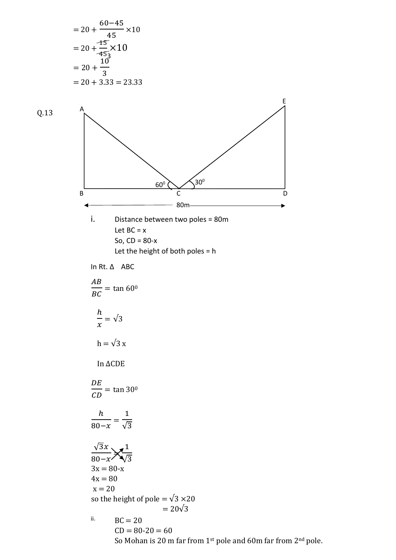= 20 + 60−45 45 ×10 = 20 + 15 45 ×10 = 20 + 10 3 = 20 + 3.33 = 23.33 Q.13 i. Distance between two poles = 80m Let BC = x So, CD = 80-x Let the height of both poles = h In Rt. ∆ ABC = tan 60<sup>0</sup> ℎ = √3 h = √3 x In ∆CDE = tan 30<sup>0</sup> ℎ 80− = 1 √3 √3 80− = 1 √3 3x = 80-x 4x = 80 x = 20 so the height of pole = √3 ×20 = 20√3 ii. BC = 20 CD = 80-20 = 60 So Mohan is 20 m far from 1st pole and 60m far from 2nd pole. 3 A B D E C 30<sup>0</sup> 60<sup>0</sup> 80m